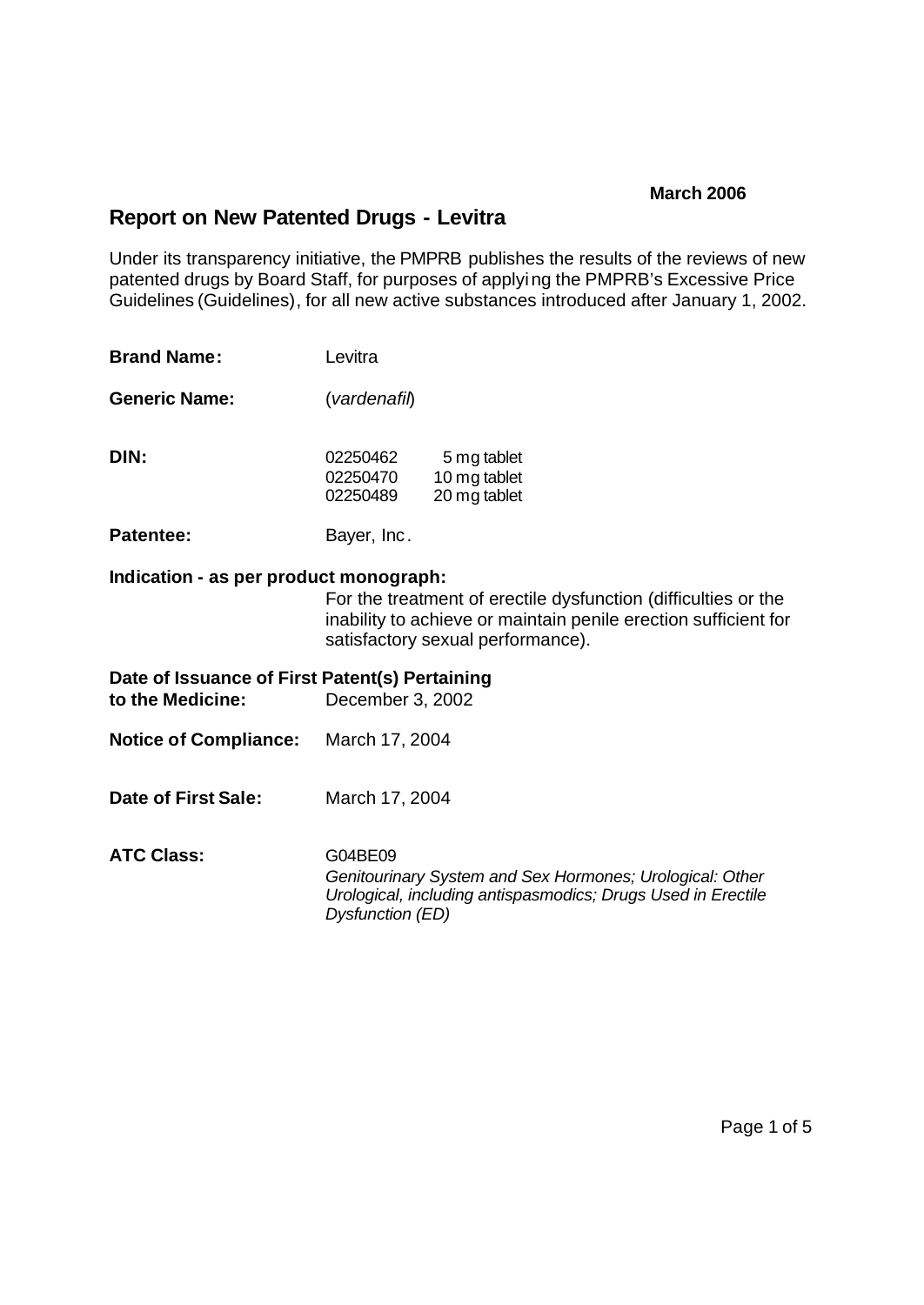# **Report on New Patented Drugs - Levitra**

Under its transparency initiative, the PMPRB publishes the results of the reviews of new patented drugs by Board Staff, for purposes of applying the PMPRB's Excessive Price Guidelines (Guidelines), for all new active substances introduced after January 1, 2002.

| <b>Brand Name:</b>                                                 | Levitra                          |                                                                                                                                                                        |  |
|--------------------------------------------------------------------|----------------------------------|------------------------------------------------------------------------------------------------------------------------------------------------------------------------|--|
| <b>Generic Name:</b>                                               | (vardenafil)                     |                                                                                                                                                                        |  |
| DIN:                                                               | 02250462<br>02250470<br>02250489 | 5 mg tablet<br>10 mg tablet<br>20 mg tablet                                                                                                                            |  |
| <b>Patentee:</b>                                                   | Bayer, Inc.                      |                                                                                                                                                                        |  |
| Indication - as per product monograph:                             |                                  | For the treatment of erectile dysfunction (difficulties or the<br>inability to achieve or maintain penile erection sufficient for<br>satisfactory sexual performance). |  |
| Date of Issuance of First Patent(s) Pertaining<br>to the Medicine: | December 3, 2002                 |                                                                                                                                                                        |  |
| Notice of Compliance: March 17, 2004                               |                                  |                                                                                                                                                                        |  |
| Date of First Sale:                                                | March 17, 2004                   |                                                                                                                                                                        |  |
| <b>ATC Class:</b>                                                  | G04BE09<br>Dysfunction (ED)      | Genitourinary System and Sex Hormones; Urological: Other<br>Urological, including antispasmodics; Drugs Used in Erectile                                               |  |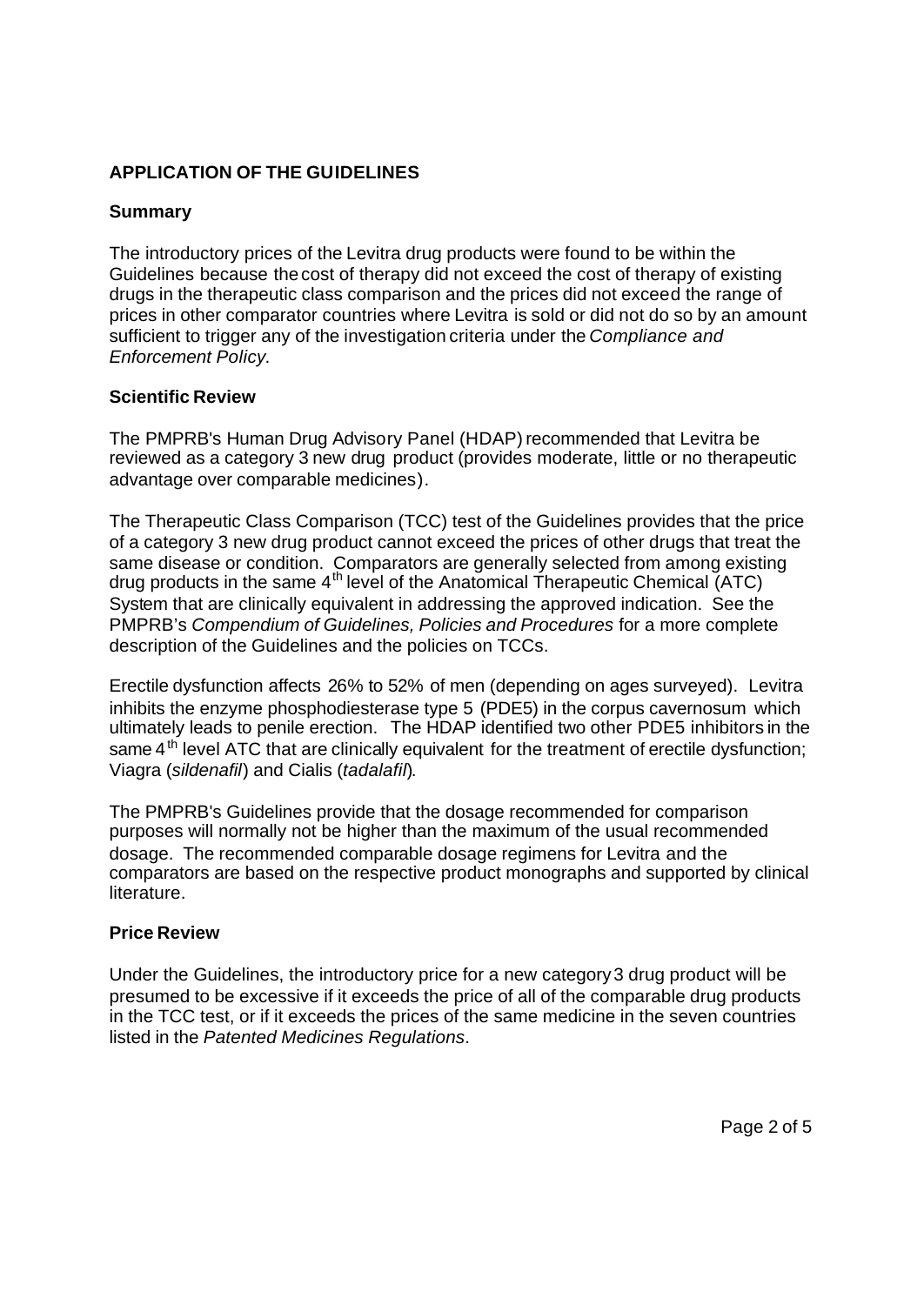# **APPLICATION OF THE GUIDELINES**

## **Summary**

The introductory prices of the Levitra drug products were found to be within the Guidelines because the cost of therapy did not exceed the cost of therapy of existing drugs in the therapeutic class comparison and the prices did not exceed the range of prices in other comparator countries where Levitra is sold or did not do so by an amount sufficient to trigger any of the investigation criteria under the *Compliance and Enforcement Policy*.

#### **Scientific Review**

The PMPRB's Human Drug Advisory Panel (HDAP) recommended that Levitra be reviewed as a category 3 new drug product (provides moderate, little or no therapeutic advantage over comparable medicines).

The Therapeutic Class Comparison (TCC) test of the Guidelines provides that the price of a category 3 new drug product cannot exceed the prices of other drugs that treat the same disease or condition. Comparators are generally selected from among existing drug products in the same 4th level of the Anatomical Therapeutic Chemical (ATC) System that are clinically equivalent in addressing the approved indication. See the PMPRB's *Compendium of Guidelines, Policies and Procedures* for a more complete description of the Guidelines and the policies on TCCs.

Erectile dysfunction affects 26% to 52% of men (depending on ages surveyed). Levitra inhibits the enzyme phosphodiesterase type 5 (PDE5) in the corpus cavernosum which ultimately leads to penile erection. The HDAP identified two other PDE5 inhibitors in the same  $4<sup>th</sup>$  level ATC that are clinically equivalent for the treatment of erectile dysfunction; Viagra (*sildenafil*) and Cialis (*tadalafil*).

The PMPRB's Guidelines provide that the dosage recommended for comparison purposes will normally not be higher than the maximum of the usual recommended dosage. The recommended comparable dosage regimens for Levitra and the comparators are based on the respective product monographs and supported by clinical literature.

#### **Price Review**

Under the Guidelines, the introductory price for a new category 3 drug product will be presumed to be excessive if it exceeds the price of all of the comparable drug products in the TCC test, or if it exceeds the prices of the same medicine in the seven countries listed in the *Patented Medicines Regulations*.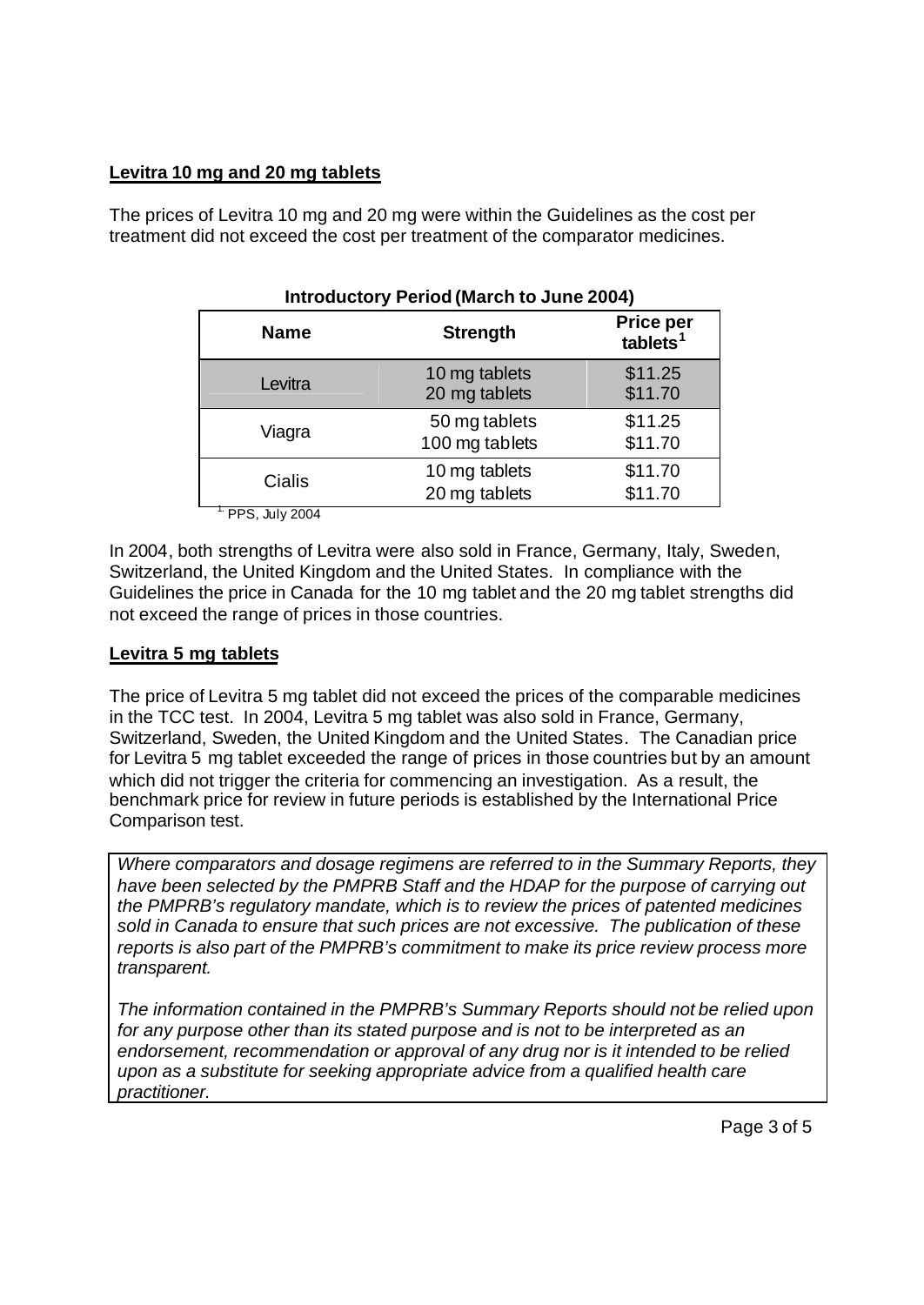## **Levitra 10 mg and 20 mg tablets**

The prices of Levitra 10 mg and 20 mg were within the Guidelines as the cost per treatment did not exceed the cost per treatment of the comparator medicines.

| $m$ output $n \times n$ is the set of $m$ of $n \times n$ of $n \times n$ |                                 |                                          |  |
|---------------------------------------------------------------------------|---------------------------------|------------------------------------------|--|
| <b>Name</b>                                                               | <b>Strength</b>                 | <b>Price per</b><br>tablets <sup>1</sup> |  |
| Levitra                                                                   | 10 mg tablets<br>20 mg tablets  | \$11.25<br>\$11.70                       |  |
| Viagra                                                                    | 50 mg tablets<br>100 mg tablets | \$11.25<br>\$11.70                       |  |
| Cialis                                                                    | 10 mg tablets<br>20 mg tablets  | \$11.70<br>\$11.70                       |  |
| <b>DDA</b> 11 0001                                                        |                                 |                                          |  |

**Introductory Period (March to June 2004)**

1. PPS, July 2004

In 2004, both strengths of Levitra were also sold in France, Germany, Italy, Sweden, Switzerland, the United Kingdom and the United States. In compliance with the Guidelines the price in Canada for the 10 mg tablet and the 20 mg tablet strengths did not exceed the range of prices in those countries.

## **Levitra 5 mg tablets**

The price of Levitra 5 mg tablet did not exceed the prices of the comparable medicines in the TCC test. In 2004, Levitra 5 mg tablet was also sold in France, Germany, Switzerland, Sweden, the United Kingdom and the United States. The Canadian price for Levitra 5 mg tablet exceeded the range of prices in those countries but by an amount which did not trigger the criteria for commencing an investigation. As a result, the benchmark price for review in future periods is established by the International Price Comparison test.

*Where comparators and dosage regimens are referred to in the Summary Reports, they have been selected by the PMPRB Staff and the HDAP for the purpose of carrying out the PMPRB's regulatory mandate, which is to review the prices of patented medicines sold in Canada to ensure that such prices are not excessive. The publication of these reports is also part of the PMPRB's commitment to make its price review process more transparent.*

*The information contained in the PMPRB's Summary Reports should not be relied upon for any purpose other than its stated purpose and is not to be interpreted as an endorsement, recommendation or approval of any drug nor is it intended to be relied upon as a substitute for seeking appropriate advice from a qualified health care practitioner.*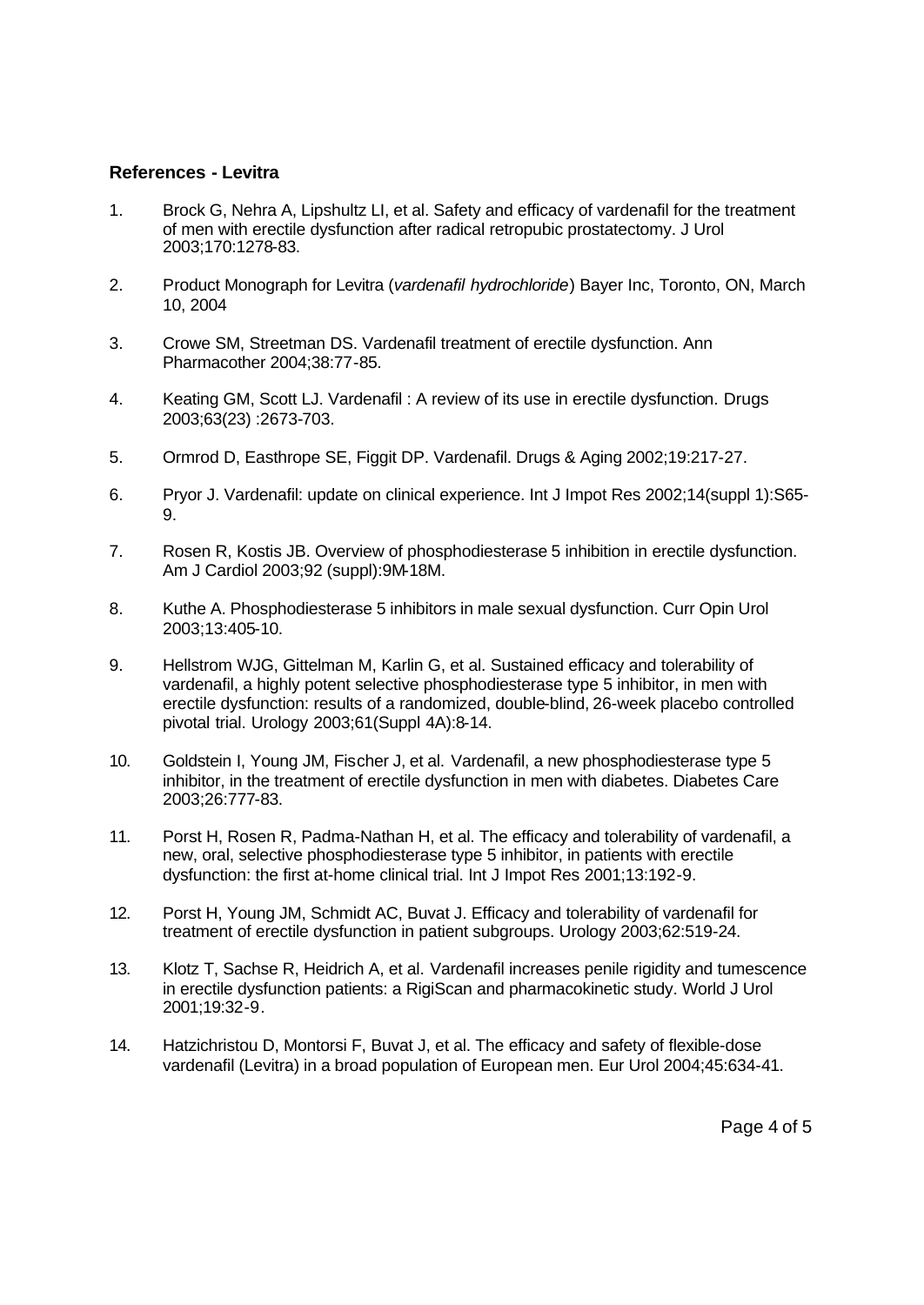#### **References - Levitra**

- 1. Brock G, Nehra A, Lipshultz LI, et al. Safety and efficacy of vardenafil for the treatment of men with erectile dysfunction after radical retropubic prostatectomy. J Urol 2003;170:1278-83.
- 2. Product Monograph for Levitra (*vardenafil hydrochloride*) Bayer Inc, Toronto, ON, March 10, 2004
- 3. Crowe SM, Streetman DS. Vardenafil treatment of erectile dysfunction. Ann Pharmacother 2004;38:77-85.
- 4. Keating GM, Scott LJ. Vardenafil : A review of its use in erectile dysfunction. Drugs 2003;63(23) :2673-703.
- 5. Ormrod D, Easthrope SE, Figgit DP. Vardenafil. Drugs & Aging 2002;19:217-27.
- 6. Pryor J. Vardenafil: update on clinical experience. Int J Impot Res 2002;14(suppl 1):S65- 9.
- 7. Rosen R, Kostis JB. Overview of phosphodiesterase 5 inhibition in erectile dysfunction. Am J Cardiol 2003;92 (suppl):9M-18M.
- 8. Kuthe A. Phosphodiesterase 5 inhibitors in male sexual dysfunction. Curr Opin Urol 2003;13:405-10.
- 9. Hellstrom WJG, Gittelman M, Karlin G, et al. Sustained efficacy and tolerability of vardenafil, a highly potent selective phosphodiesterase type 5 inhibitor, in men with erectile dysfunction: results of a randomized, double-blind, 26-week placebo controlled pivotal trial. Urology 2003;61(Suppl 4A):8-14.
- 10. Goldstein I, Young JM, Fischer J, et al. Vardenafil, a new phosphodiesterase type 5 inhibitor, in the treatment of erectile dysfunction in men with diabetes. Diabetes Care 2003;26:777-83.
- 11. Porst H, Rosen R, Padma-Nathan H, et al. The efficacy and tolerability of vardenafil, a new, oral, selective phosphodiesterase type 5 inhibitor, in patients with erectile dysfunction: the first at-home clinical trial. Int J Impot Res 2001;13:192-9.
- 12. Porst H, Young JM, Schmidt AC, Buvat J. Efficacy and tolerability of vardenafil for treatment of erectile dysfunction in patient subgroups. Urology 2003;62:519-24.
- 13. Klotz T, Sachse R, Heidrich A, et al. Vardenafil increases penile rigidity and tumescence in erectile dysfunction patients: a RigiScan and pharmacokinetic study. World J Urol 2001;19:32-9.
- 14. Hatzichristou D, Montorsi F, Buvat J, et al. The efficacy and safety of flexible-dose vardenafil (Levitra) in a broad population of European men. Eur Urol 2004;45:634-41.